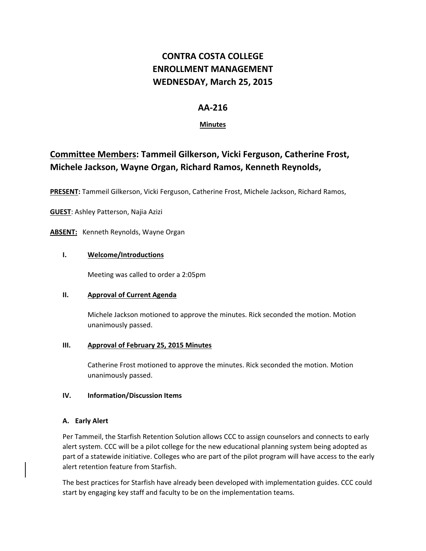# **CONTRA COSTA COLLEGE ENROLLMENT MANAGEMENT WEDNESDAY, March 25, 2015**

## **AA‐216**

## **Minutes**

## **Committee Members: Tammeil Gilkerson, Vicki Ferguson, Catherine Frost, Michele Jackson, Wayne Organ, Richard Ramos, Kenneth Reynolds,**

**PRESENT:** Tammeil Gilkerson, Vicki Ferguson, Catherine Frost, Michele Jackson, Richard Ramos,

**GUEST**: Ashley Patterson, Najia Azizi

ABSENT: Kenneth Reynolds, Wayne Organ

### **I. Welcome/Introductions**

Meeting was called to order a 2:05pm

#### **II. Approval of Current Agenda**

Michele Jackson motioned to approve the minutes. Rick seconded the motion. Motion unanimously passed.

#### **III. Approval of February 25, 2015 Minutes**

Catherine Frost motioned to approve the minutes. Rick seconded the motion. Motion unanimously passed.

#### **IV. Information/Discussion Items**

## **A. Early Alert**

Per Tammeil, the Starfish Retention Solution allows CCC to assign counselors and connects to early alert system. CCC will be a pilot college for the new educational planning system being adopted as part of a statewide initiative. Colleges who are part of the pilot program will have access to the early alert retention feature from Starfish.

The best practices for Starfish have already been developed with implementation guides. CCC could start by engaging key staff and faculty to be on the implementation teams.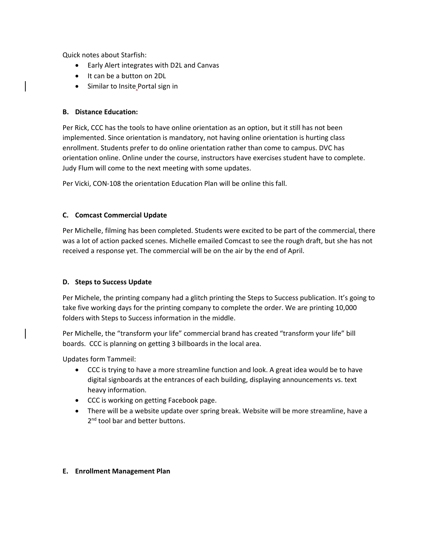Quick notes about Starfish:

- Early Alert integrates with D2L and Canvas
- It can be a button on 2DL
- Similar to Insite Portal sign in

### **B. Distance Education:**

Per Rick, CCC has the tools to have online orientation as an option, but it still has not been implemented. Since orientation is mandatory, not having online orientation is hurting class enrollment. Students prefer to do online orientation rather than come to campus. DVC has orientation online. Online under the course, instructors have exercises student have to complete. Judy Flum will come to the next meeting with some updates.

Per Vicki, CON‐108 the orientation Education Plan will be online this fall.

### **C. Comcast Commercial Update**

Per Michelle, filming has been completed. Students were excited to be part of the commercial, there was a lot of action packed scenes. Michelle emailed Comcast to see the rough draft, but she has not received a response yet. The commercial will be on the air by the end of April.

## **D. Steps to Success Update**

Per Michele, the printing company had a glitch printing the Steps to Success publication. It's going to take five working days for the printing company to complete the order. We are printing 10,000 folders with Steps to Success information in the middle.

Per Michelle, the "transform your life" commercial brand has created "transform your life" bill boards. CCC is planning on getting 3 billboards in the local area.

Updates form Tammeil:

- CCC is trying to have a more streamline function and look. A great idea would be to have digital signboards at the entrances of each building, displaying announcements vs. text heavy information.
- CCC is working on getting Facebook page.
- There will be a website update over spring break. Website will be more streamline, have a 2<sup>nd</sup> tool bar and better buttons.

#### **E. Enrollment Management Plan**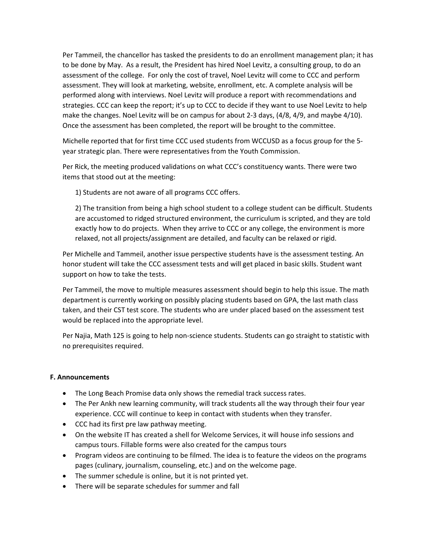Per Tammeil, the chancellor has tasked the presidents to do an enrollment management plan; it has to be done by May. As a result, the President has hired Noel Levitz, a consulting group, to do an assessment of the college. For only the cost of travel, Noel Levitz will come to CCC and perform assessment. They will look at marketing, website, enrollment, etc. A complete analysis will be performed along with interviews. Noel Levitz will produce a report with recommendations and strategies. CCC can keep the report; it's up to CCC to decide if they want to use Noel Levitz to help make the changes. Noel Levitz will be on campus for about 2‐3 days, (4/8, 4/9, and maybe 4/10). Once the assessment has been completed, the report will be brought to the committee.

Michelle reported that for first time CCC used students from WCCUSD as a focus group for the 5‐ year strategic plan. There were representatives from the Youth Commission.

Per Rick, the meeting produced validations on what CCC's constituency wants. There were two items that stood out at the meeting:

1) Students are not aware of all programs CCC offers.

2) The transition from being a high school student to a college student can be difficult. Students are accustomed to ridged structured environment, the curriculum is scripted, and they are told exactly how to do projects. When they arrive to CCC or any college, the environment is more relaxed, not all projects/assignment are detailed, and faculty can be relaxed or rigid.

Per Michelle and Tammeil, another issue perspective students have is the assessment testing. An honor student will take the CCC assessment tests and will get placed in basic skills. Student want support on how to take the tests.

Per Tammeil, the move to multiple measures assessment should begin to help this issue. The math department is currently working on possibly placing students based on GPA, the last math class taken, and their CST test score. The students who are under placed based on the assessment test would be replaced into the appropriate level.

Per Najia, Math 125 is going to help non‐science students. Students can go straight to statistic with no prerequisites required.

#### **F. Announcements**

- The Long Beach Promise data only shows the remedial track success rates.
- The Per Ankh new learning community, will track students all the way through their four year experience. CCC will continue to keep in contact with students when they transfer.
- CCC had its first pre law pathway meeting.
- On the website IT has created a shell for Welcome Services, it will house info sessions and campus tours. Fillable forms were also created for the campus tours
- Program videos are continuing to be filmed. The idea is to feature the videos on the programs pages (culinary, journalism, counseling, etc.) and on the welcome page.
- The summer schedule is online, but it is not printed yet.
- There will be separate schedules for summer and fall